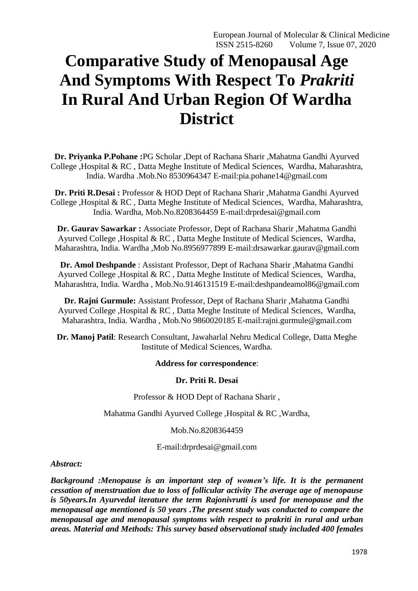# **Comparative Study of Menopausal Age And Symptoms With Respect To** *Prakriti*  **In Rural And Urban Region Of Wardha District**

**Dr. Priyanka P.Pohane :**PG Scholar ,Dept of Rachana Sharir ,Mahatma Gandhi Ayurved College ,Hospital & RC , Datta Meghe Institute of Medical Sciences, Wardha, Maharashtra, India. Wardha .Mob.No 8530964347 E-mail:pia.pohane14@gmail.com

**Dr. Priti R.Desai :** Professor & HOD Dept of Rachana Sharir ,Mahatma Gandhi Ayurved College ,Hospital & RC , Datta Meghe Institute of Medical Sciences, Wardha, Maharashtra, India. Wardha, Mob.No.8208364459 E-mail:drprdesai@gmail.com

**Dr. Gaurav Sawarkar :** Associate Professor, Dept of Rachana Sharir ,Mahatma Gandhi Ayurved College ,Hospital & RC , Datta Meghe Institute of Medical Sciences, Wardha, Maharashtra, India. Wardha ,Mob No.8956977899 E-mail:drsawarkar.gaurav@gmail.com

**Dr. Amol Deshpande** : Assistant Professor, Dept of Rachana Sharir ,Mahatma Gandhi Ayurved College ,Hospital & RC , Datta Meghe Institute of Medical Sciences, Wardha, Maharashtra, India. Wardha , Mob.No.9146131519 E-mail:deshpandeamol86@gmail.com

**Dr. Rajni Gurmule:** Assistant Professor, Dept of Rachana Sharir ,Mahatma Gandhi Ayurved College ,Hospital & RC , Datta Meghe Institute of Medical Sciences, Wardha, Maharashtra, India. Wardha , Mob.No 9860020185 E-mail:rajni.gurmule@gmail.com

**Dr. Manoj Patil**: Research Consultant, Jawaharlal Nehru Medical College, Datta Meghe Institute of Medical Sciences, Wardha.

## **Address for correspondence**:

## **Dr. Priti R. Desai**

Professor & HOD Dept of Rachana Sharir ,

Mahatma Gandhi Ayurved College ,Hospital & RC ,Wardha,

Mob.No.8208364459

E-mail:drprdesai@gmail.com

## *Abstract:*

*Background :Menopause is an important step of women's life. It is the permanent cessation of menstruation due to loss of follicular activity The average age of menopause is 50years.In Ayurvedal iterature the term Rajonivrutti is used for menopause and the menopausal age mentioned is 50 years .The present study was conducted to compare the menopausal age and menopausal symptoms with respect to prakriti in rural and urban areas. Material and Methods: This survey based observational study included 400 females*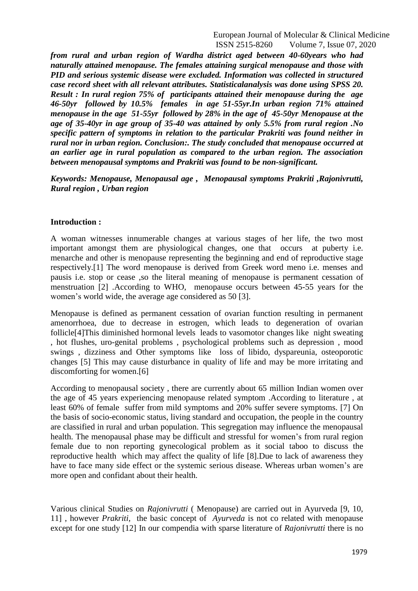*from rural and urban region of Wardha district aged between 40-60years who had naturally attained menopause. The females attaining surgical menopause and those with PID and serious systemic disease were excluded. Information was collected in structured case record sheet with all relevant attributes. Statisticalanalysis was done using SPSS 20. Result : In rural region 75% of participants attained their menopause during the age 46-50yr followed by 10.5% females in age 51-55yr.In urban region 71% attained menopause in the age 51-55yr followed by 28% in the age of 45-50yr Menopause at the age of 35-40yr in age group of 35-40 was attained by only 5.5% from rural region .No specific pattern of symptoms in relation to the particular Prakriti was found neither in rural nor in urban region. Conclusion:. The study concluded that menopause occurred at an earlier age in rural population as compared to the urban region. The association between menopausal symptoms and Prakriti was found to be non-significant.*

*Keywords: Menopause, Menopausal age , Menopausal symptoms Prakriti ,Rajonivrutti, Rural region , Urban region* 

#### **Introduction :**

A woman witnesses innumerable changes at various stages of her life, the two most important amongst them are physiological changes, one that occurs at puberty i.e. menarche and other is menopause representing the beginning and end of reproductive stage respectively.[1] The word menopause is derived from Greek word meno i.e. menses and pausis i.e. stop or cease ,so the literal meaning of menopause is permanent cessation of menstruation [2] .According to WHO, menopause occurs between 45-55 years for the women's world wide, the average age considered as 50 [3].

Menopause is defined as permanent cessation of ovarian function resulting in permanent amenorrhoea, due to decrease in estrogen, which leads to degeneration of ovarian follicle[4]This diminished hormonal levels leads to vasomotor changes like night sweating , hot flushes, uro-genital problems , psychological problems such as depression , mood swings , dizziness and Other symptoms like loss of libido, dyspareunia, osteoporotic changes [5] This may cause disturbance in quality of life and may be more irritating and discomforting for women.[6]

According to menopausal society , there are currently about 65 million Indian women over the age of 45 years experiencing menopause related symptom .According to literature , at least 60% of female suffer from mild symptoms and 20% suffer severe symptoms. [7] On the basis of socio-economic status, living standard and occupation, the people in the country are classified in rural and urban population. This segregation may influence the menopausal health. The menopausal phase may be difficult and stressful for women's from rural region female due to non reporting gynecological problem as it social taboo to discuss the reproductive health which may affect the quality of life [8].Due to lack of awareness they have to face many side effect or the systemic serious disease. Whereas urban women's are more open and confidant about their health.

Various clinical Studies on *Rajonivrutti* ( Menopause) are carried out in Ayurveda [9, 10, 11] , however *Prakriti,* the basic concept of *Ayurveda* is not co related with menopause except for one study [12] In our compendia with sparse literature of *Rajonivrutti* there is no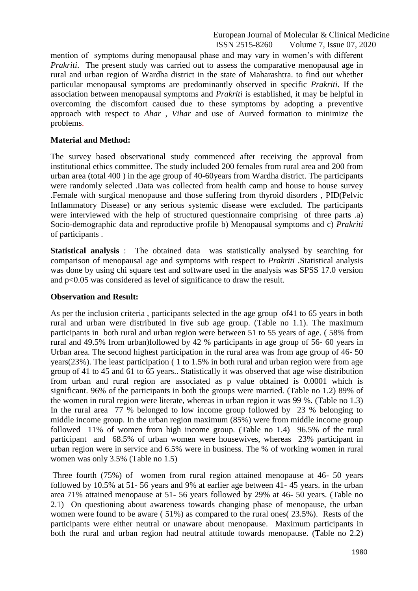mention of symptoms during menopausal phase and may vary in women's with different *Prakriti*. The present study was carried out to assess the comparative menopausal age in rural and urban region of Wardha district in the state of Maharashtra. to find out whether particular menopausal symptoms are predominantly observed in specific *Prakriti.* If the association between menopausal symptoms and *Prakriti* is established, it may be helpful in overcoming the discomfort caused due to these symptoms by adopting a preventive approach with respect to *Ahar* , *Vihar* and use of Aurved formation to minimize the problems.

#### **Material and Method:**

The survey based observational study commenced after receiving the approval from institutional ethics committee. The study included 200 females from rural area and 200 from urban area (total 400 ) in the age group of 40-60years from Wardha district. The participants were randomly selected .Data was collected from health camp and house to house survey .Female with surgical menopause and those suffering from thyroid disorders , PID(Pelvic Inflammatory Disease) or any serious systemic disease were excluded. The participants were interviewed with the help of structured questionnaire comprising of three parts .a) Socio-demographic data and reproductive profile b) Menopausal symptoms and c) *Prakriti*  of participants .

**Statistical analysis** : The obtained data was statistically analysed by searching for comparison of menopausal age and symptoms with respect to *Prakriti .*Statistical analysis was done by using chi square test and software used in the analysis was SPSS 17.0 version and p<0.05 was considered as level of significance to draw the result.

#### **Observation and Result:**

As per the inclusion criteria , participants selected in the age group of41 to 65 years in both rural and urban were distributed in five sub age group. (Table no 1.1). The maximum participants in both rural and urban region were between 51 to 55 years of age. ( 58% from rural and 49.5% from urban)followed by 42 % participants in age group of 56- 60 years in Urban area. The second highest participation in the rural area was from age group of 46- 50 years(23%). The least participation ( 1 to 1.5% in both rural and urban region were from age group of 41 to 45 and 61 to 65 years.. Statistically it was observed that age wise distribution from urban and rural region are associated as p value obtained is 0.0001 which is significant. 96% of the participants in both the groups were married. (Table no 1.2) 89% of the women in rural region were literate, whereas in urban region it was 99 %. (Table no 1.3) In the rural area 77 % belonged to low income group followed by 23 % belonging to middle income group. In the urban region maximum (85%) were from middle income group followed 11% of women from high income group. (Table no 1.4) 96.5% of the rural participant and 68.5% of urban women were housewives, whereas 23% participant in urban region were in service and 6.5% were in business. The % of working women in rural women was only 3.5% (Table no 1.5)

Three fourth (75%) of women from rural region attained menopause at 46- 50 years followed by 10.5% at 51- 56 years and 9% at earlier age between 41- 45 years. in the urban area 71% attained menopause at 51- 56 years followed by 29% at 46- 50 years. (Table no 2.1) On questioning about awareness towards changing phase of menopause, the urban women were found to be aware ( 51%) as compared to the rural ones( 23.5%). Rests of the participants were either neutral or unaware about menopause. Maximum participants in both the rural and urban region had neutral attitude towards menopause. (Table no 2.2)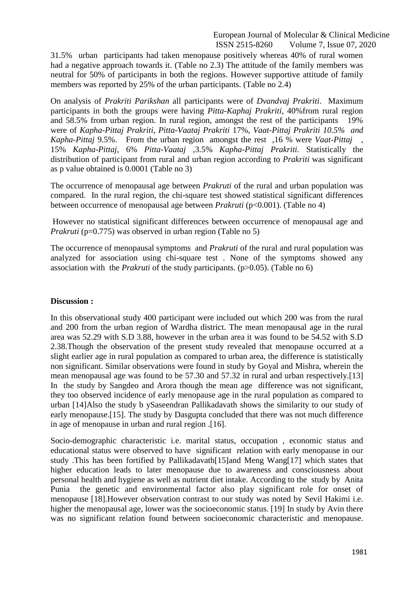31.5% urban participants had taken menopause positively whereas 40% of rural women had a negative approach towards it. (Table no 2.3) The attitude of the family members was neutral for 50% of participants in both the regions. However supportive attitude of family members was reported by 25% of the urban participants. (Table no 2.4)

On analysis of *Prakriti Parikshan* all participants were of *Dvandvaj Prakriti*. Maximum participants in both the groups were having *Pitta-Kaphaj Prakriti*, 40%from rural region and 58.5% from urban region. In rural region, amongst the rest of the participants 19% were of *Kapha-Pittaj Prakriti, Pitta-Vaataj Prakriti* 17%, *Vaat-Pittaj Prakriti 10.5% and Kapha-Pittaj* 9.5%. From the urban region amongst the rest ,16 % were *Vaat-Pittaj* , 15% *Kapha-Pittaj*, 6% *Pitta-Vaataj* ,3.5% *Kapha-Pittaj Prakriti*. Statistically the distribution of participant from rural and urban region according to *Prakriti* was significant as p value obtained is 0.0001 (Table no 3)

The occurrence of menopausal age between *Prakruti* of the rural and urban population was compared. In the rural region, the chi-square test showed statistical significant differences between occurrence of menopausal age between *Prakruti* (p<0.001). (Table no 4)

However no statistical significant differences between occurrence of menopausal age and *Prakruti* (p=0.775) was observed in urban region (Table no 5)

The occurrence of menopausal symptoms and *Prakruti* of the rural and rural population was analyzed for association using chi-square test . None of the symptoms showed any association with the *Prakruti* of the study participants. (p>0.05). (Table no 6)

#### **Discussion :**

In this observational study 400 participant were included out which 200 was from the rural and 200 from the urban region of Wardha district. The mean menopausal age in the rural area was 52.29 with S.D 3.88, however in the urban area it was found to be 54.52 with S.D 2.38.Though the observation of the present study revealed that menopause occurred at a slight earlier age in rural population as compared to urban area, the difference is statistically non significant. Similar observations were found in study by Goyal and Mishra, wherein the mean menopausal age was found to be 57.30 and 57.32 in rural and urban respectively.[13] In the study by Sangdeo and Arora though the mean age difference was not significant, they too observed incidence of early menopause age in the rural population as compared to urban [14]Also the study b ySaseendran Pallikadavath shows the similarity to our study of early menopause.[15]. The study by Dasgupta concluded that there was not much difference in age of menopause in urban and rural region .[16].

Socio-demographic characteristic i.e. marital status, occupation , economic status and educational status were observed to have significant relation with early menopause in our study .This has been fortified by Pallikadavath[15]and Meng Wang[17] which states that higher education leads to later menopause due to awareness and consciousness about personal health and hygiene as well as nutrient diet intake. According to the study by Anita Punia the genetic and environmental factor also play significant role for onset of menopause [18].However observation contrast to our study was noted by Sevil Hakimi i.e. higher the menopausal age, lower was the socioeconomic status. [19] In study by Avin there was no significant relation found between socioeconomic characteristic and menopause.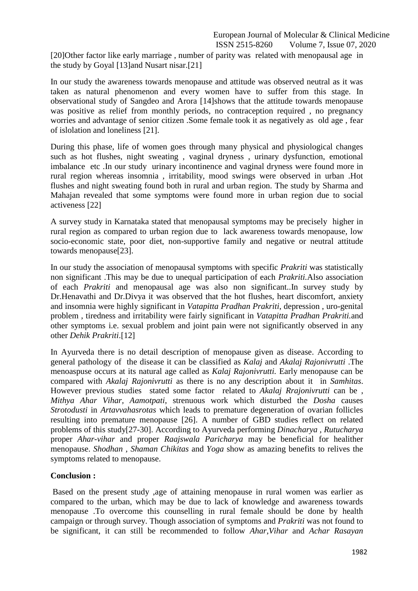[20]Other factor like early marriage , number of parity was related with menopausal age in the study by Goyal [13]and Nusart nisar.[21]

In our study the awareness towards menopause and attitude was observed neutral as it was taken as natural phenomenon and every women have to suffer from this stage. In observational study of Sangdeo and Arora [14]shows that the attitude towards menopause was positive as relief from monthly periods, no contraception required , no pregnancy worries and advantage of senior citizen .Some female took it as negatively as old age , fear of islolation and loneliness [21].

During this phase, life of women goes through many physical and physiological changes such as hot flushes, night sweating , vaginal dryness , urinary dysfunction, emotional imbalance etc .In our study urinary incontinence and vaginal dryness were found more in rural region whereas insomnia , irritability, mood swings were observed in urban .Hot flushes and night sweating found both in rural and urban region. The study by Sharma and Mahajan revealed that some symptoms were found more in urban region due to social activeness [22]

A survey study in Karnataka stated that menopausal symptoms may be precisely higher in rural region as compared to urban region due to lack awareness towards menopause, low socio-economic state, poor diet, non-supportive family and negative or neutral attitude towards menopause[23].

In our study the association of menopausal symptoms with specific *Prakriti* was statistically non significant .This may be due to unequal participation of each *Prakriti.*Also association of each *Prakriti* and menopausal age was also non significant..In survey study by Dr.Henavathi and Dr.Divya it was observed that the hot flushes, heart discomfort, anxiety and insomnia were highly significant in *Vatapitta Pradhan Prakriti*, depression , uro-genital problem , tiredness and irritability were fairly significant in *Vatapitta Pradhan Prakriti.*and other symptoms i.e. sexual problem and joint pain were not significantly observed in any other *Dehik Prakriti*.[12]

In Ayurveda there is no detail description of menopause given as disease. According to general pathology of the disease it can be classified as *Kalaj* and *Akalaj Rajonivrutti* .The menoaspuse occurs at its natural age called as *Kalaj Rajonivrutti.* Early menopause can be compared with *Akalaj Rajonivrutti* as there is no any description about it in *Samhitas*. However previous studies stated some factor related to *Akalaj Rrajonivrutti* can be , *Mithya Ahar Vihar, Aamotpati*, strenuous work which disturbed the *Dosha* causes *Strotodusti* in *Artavvahasrotas* which leads to premature degeneration of ovarian follicles resulting into premature menopause [26]. A number of GBD studies reflect on related problems of this study[27-30]. According to Ayurveda performing *Dinacharya , Rutucharya* proper *Ahar-vihar* and proper *Raajswala Paricharya* may be beneficial for healither menopause. *Shodhan , Shaman Chikitas* and *Yoga* show as amazing benefits to relives the symptoms related to menopause.

## **Conclusion :**

Based on the present study ,age of attaining menopause in rural women was earlier as compared to the urban, which may be due to lack of knowledge and awareness towards menopause .To overcome this counselling in rural female should be done by health campaign or through survey. Though association of symptoms and *Prakriti* was not found to be significant, it can still be recommended to follow *Ahar*,*Vihar* and *Achar Rasayan*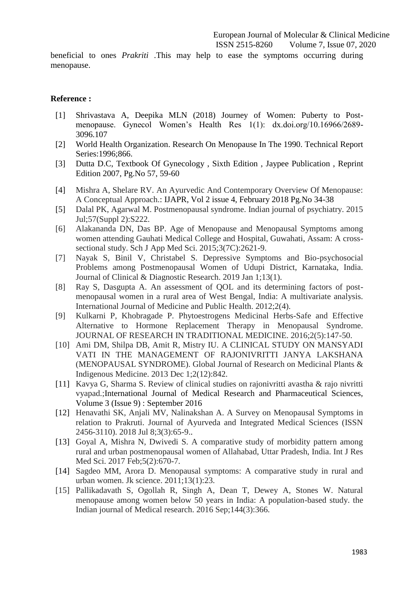beneficial to ones *Prakriti* .This may help to ease the symptoms occurring during menopause.

#### **Reference :**

- [1] Shrivastava A, Deepika MLN (2018) Journey of Women: Puberty to Postmenopause. Gynecol Women's Health Res 1(1): dx.doi.org/10.16966/2689- 3096.107
- [2] World Health Organization. Research On Menopause In The 1990. Technical Report Series:1996;866.
- [3] Dutta D.C, Textbook Of Gynecology , Sixth Edition , Jaypee Publication , Reprint Edition 2007, Pg.No 57, 59-60
- [4] Mishra A, Shelare RV. An Ayurvedic And Contemporary Overview Of Menopause: A Conceptual Approach.: IJAPR, Vol 2 issue 4, February 2018 Pg.No 34-38
- [5] Dalal PK, Agarwal M. Postmenopausal syndrome. Indian journal of psychiatry. 2015 Jul;57(Suppl 2):S222.
- [6] Alakananda DN, Das BP. Age of Menopause and Menopausal Symptoms among women attending Gauhati Medical College and Hospital, Guwahati, Assam: A crosssectional study. Sch J App Med Sci. 2015;3(7C):2621-9.
- [7] Nayak S, Binil V, Christabel S. Depressive Symptoms and Bio-psychosocial Problems among Postmenopausal Women of Udupi District, Karnataka, India. Journal of Clinical & Diagnostic Research. 2019 Jan 1;13(1).
- [8] Ray S, Dasgupta A. An assessment of QOL and its determining factors of postmenopausal women in a rural area of West Bengal, India: A multivariate analysis. International Journal of Medicine and Public Health. 2012;2(4).
- [9] Kulkarni P, Khobragade P. Phytoestrogens Medicinal Herbs-Safe and Effective Alternative to Hormone Replacement Therapy in Menopausal Syndrome. JOURNAL OF RESEARCH IN TRADITIONAL MEDICINE. 2016;2(5):147-50.
- [10] Ami DM, Shilpa DB, Amit R, Mistry IU. A CLINICAL STUDY ON MANSYADI VATI IN THE MANAGEMENT OF RAJONIVRITTI JANYA LAKSHANA (MENOPAUSAL SYNDROME). Global Journal of Research on Medicinal Plants & Indigenous Medicine. 2013 Dec 1;2(12):842.
- [11] Kavya G, Sharma S. Review of clinical studies on rajonivritti avastha & rajo nivritti vyapad.;International Journal of Medical Research and Pharmaceutical Sciences, Volume 3 (Issue 9) : September 2016
- [12] Henavathi SK, Anjali MV, Nalinakshan A. A Survey on Menopausal Symptoms in relation to Prakruti. Journal of Ayurveda and Integrated Medical Sciences (ISSN 2456-3110). 2018 Jul 8;3(3):65-9..
- [13] Goyal A, Mishra N, Dwivedi S. A comparative study of morbidity pattern among rural and urban postmenopausal women of Allahabad, Uttar Pradesh, India. Int J Res Med Sci. 2017 Feb;5(2):670-7.
- [14] Sagdeo MM, Arora D. Menopausal symptoms: A comparative study in rural and urban women. Jk science. 2011;13(1):23.
- [15] Pallikadavath S, Ogollah R, Singh A, Dean T, Dewey A, Stones W. Natural menopause among women below 50 years in India: A population-based study. the Indian journal of Medical research. 2016 Sep;144(3):366.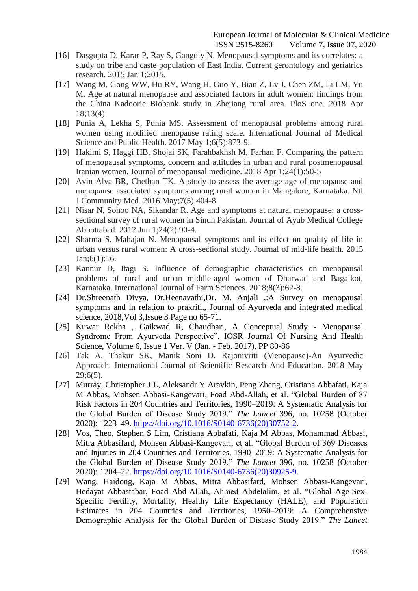- [16] Dasgupta D, Karar P, Ray S, Ganguly N. Menopausal symptoms and its correlates: a study on tribe and caste population of East India. Current gerontology and geriatrics research. 2015 Jan 1;2015.
- [17] Wang M, Gong WW, Hu RY, Wang H, Guo Y, Bian Z, Lv J, Chen ZM, Li LM, Yu M. Age at natural menopause and associated factors in adult women: findings from the China Kadoorie Biobank study in Zhejiang rural area. PloS one. 2018 Apr 18;13(4)
- [18] Punia A, Lekha S, Punia MS. Assessment of menopausal problems among rural women using modified menopause rating scale. International Journal of Medical Science and Public Health. 2017 May 1;6(5):873-9.
- [19] Hakimi S, Haggi HB, Shojai SK, Farahbakhsh M, Farhan F. Comparing the pattern of menopausal symptoms, concern and attitudes in urban and rural postmenopausal Iranian women. Journal of menopausal medicine. 2018 Apr 1;24(1):50-5
- [20] Avin Alva BR, Chethan TK. A study to assess the average age of menopause and menopause associated symptoms among rural women in Mangalore, Karnataka. Ntl J Community Med. 2016 May;7(5):404-8.
- [21] Nisar N, Sohoo NA, Sikandar R. Age and symptoms at natural menopause: a crosssectional survey of rural women in Sindh Pakistan. Journal of Ayub Medical College Abbottabad. 2012 Jun 1;24(2):90-4.
- [22] Sharma S, Mahajan N. Menopausal symptoms and its effect on quality of life in urban versus rural women: A cross-sectional study. Journal of mid-life health. 2015 Jan;6(1):16.
- [23] Kannur D, Itagi S. Influence of demographic characteristics on menopausal problems of rural and urban middle-aged women of Dharwad and Bagalkot, Karnataka. International Journal of Farm Sciences. 2018;8(3):62-8.
- [24] Dr.Shreenath Divya, Dr.Heenavathi,Dr. M. Anjali ,:A Survey on menopausal symptoms and in relation to prakriti., Journal of Ayurveda and integrated medical science, 2018,Vol 3,Issue 3 Page no 65-71.
- [25] Kuwar Rekha , Gaikwad R, Chaudhari, A Conceptual Study Menopausal Syndrome From Ayurveda Perspective", IOSR Journal Of Nursing And Health Science, Volume 6, Issue 1 Ver. V (Jan. - Feb. 2017), PP 80-86
- [26] Tak A, Thakur SK, Manik Soni D. Rajonivriti (Menopause)-An Ayurvedic Approach. International Journal of Scientific Research And Education. 2018 May 29;6(5).
- [27] Murray, Christopher J L, Aleksandr Y Aravkin, Peng Zheng, Cristiana Abbafati, Kaja M Abbas, Mohsen Abbasi-Kangevari, Foad Abd-Allah, et al. "Global Burden of 87 Risk Factors in 204 Countries and Territories, 1990–2019: A Systematic Analysis for the Global Burden of Disease Study 2019." *The Lancet* 396, no. 10258 (October 2020): 1223–49. [https://doi.org/10.1016/S0140-6736\(20\)30752-2.](https://doi.org/10.1016/S0140-6736(20)30752-2)
- [28] Vos, Theo, Stephen S Lim, Cristiana Abbafati, Kaja M Abbas, Mohammad Abbasi, Mitra Abbasifard, Mohsen Abbasi-Kangevari, et al. "Global Burden of 369 Diseases and Injuries in 204 Countries and Territories, 1990–2019: A Systematic Analysis for the Global Burden of Disease Study 2019." *The Lancet* 396, no. 10258 (October 2020): 1204–22. [https://doi.org/10.1016/S0140-6736\(20\)30925-9.](https://doi.org/10.1016/S0140-6736(20)30925-9)
- [29] Wang, Haidong, Kaja M Abbas, Mitra Abbasifard, Mohsen Abbasi-Kangevari, Hedayat Abbastabar, Foad Abd-Allah, Ahmed Abdelalim, et al. "Global Age-Sex-Specific Fertility, Mortality, Healthy Life Expectancy (HALE), and Population Estimates in 204 Countries and Territories, 1950–2019: A Comprehensive Demographic Analysis for the Global Burden of Disease Study 2019." *The Lancet*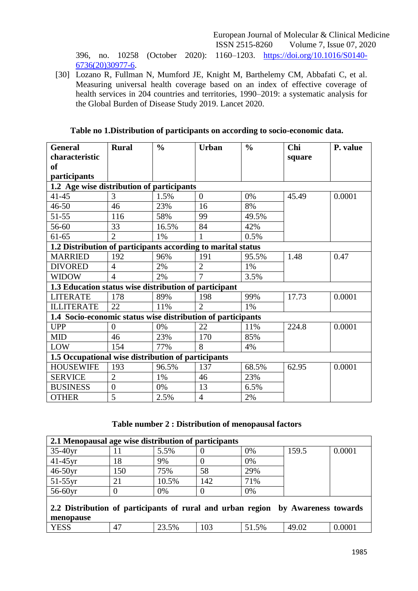396, no. 10258 (October 2020): 1160–1203. [https://doi.org/10.1016/S0140-](https://doi.org/10.1016/S0140-6736(20)30977-6) [6736\(20\)30977-6.](https://doi.org/10.1016/S0140-6736(20)30977-6)

[30] Lozano R, Fullman N, Mumford JE, Knight M, Barthelemy CM, Abbafati C, et al. Measuring universal health coverage based on an index of effective coverage of health services in 204 countries and territories, 1990–2019: a systematic analysis for the Global Burden of Disease Study 2019. Lancet 2020.

| <b>General</b>                                               | <b>Rural</b>   | $\frac{0}{0}$ | <b>Urban</b>   | $\frac{0}{0}$ | Chi    | P. value |  |  |  |  |  |
|--------------------------------------------------------------|----------------|---------------|----------------|---------------|--------|----------|--|--|--|--|--|
| characteristic                                               |                |               |                |               | square |          |  |  |  |  |  |
| <sub>of</sub>                                                |                |               |                |               |        |          |  |  |  |  |  |
| participants                                                 |                |               |                |               |        |          |  |  |  |  |  |
| 1.2 Age wise distribution of participants                    |                |               |                |               |        |          |  |  |  |  |  |
| $41 - 45$                                                    | 3              | 1.5%          | $\overline{0}$ | 0%            | 45.49  | 0.0001   |  |  |  |  |  |
| $46 - 50$                                                    | 46             | 23%           | 16             | 8%            |        |          |  |  |  |  |  |
| 51-55                                                        | 116            | 58%           | 99             | 49.5%         |        |          |  |  |  |  |  |
| 56-60                                                        | 33             | 16.5%         | 84             | 42%           |        |          |  |  |  |  |  |
| $61 - 65$                                                    | $\overline{2}$ | 1%            |                | 0.5%          |        |          |  |  |  |  |  |
| 1.2 Distribution of participants according to marital status |                |               |                |               |        |          |  |  |  |  |  |
| <b>MARRIED</b>                                               | 192            | 96%           | 191            | 95.5%         | 1.48   | 0.47     |  |  |  |  |  |
| <b>DIVORED</b>                                               | $\overline{4}$ | 2%            | $\overline{2}$ | 1%            |        |          |  |  |  |  |  |
| <b>WIDOW</b>                                                 | $\overline{4}$ | 2%            | $\overline{7}$ | 3.5%          |        |          |  |  |  |  |  |
| 1.3 Education status wise distribution of participant        |                |               |                |               |        |          |  |  |  |  |  |
| <b>LITERATE</b>                                              | 178            | 89%           | 198            | 99%           | 17.73  | 0.0001   |  |  |  |  |  |
| <b>ILLITERATE</b>                                            | 22             | 11%           | $\overline{2}$ | 1%            |        |          |  |  |  |  |  |
| 1.4 Socio-economic status wise distribution of participants  |                |               |                |               |        |          |  |  |  |  |  |
| <b>UPP</b>                                                   | $\Omega$       | 0%            | 22             | 11%           | 224.8  | 0.0001   |  |  |  |  |  |
| <b>MID</b>                                                   | 46             | 23%           | 170            | 85%           |        |          |  |  |  |  |  |
| LOW                                                          | 154            | 77%           | 8              | 4%            |        |          |  |  |  |  |  |
| 1.5 Occupational wise distribution of participants           |                |               |                |               |        |          |  |  |  |  |  |
| <b>HOUSEWIFE</b>                                             | 193            | 96.5%         | 137            | 68.5%         | 62.95  | 0.0001   |  |  |  |  |  |
| <b>SERVICE</b>                                               | $\overline{2}$ | 1%            | 46             | 23%           |        |          |  |  |  |  |  |
| <b>BUSINESS</b>                                              | $\theta$       | 0%            | 13             | 6.5%          |        |          |  |  |  |  |  |
| <b>OTHER</b>                                                 | 5              | 2.5%          | $\overline{4}$ | 2%            |        |          |  |  |  |  |  |

# **Table no 1.Distribution of participants on according to socio-economic data.**

## **Table number 2 : Distribution of menopausal factors**

| 2.1 Menopausal age wise distribution of participants                                         |     |       |     |       |       |        |  |  |  |  |  |
|----------------------------------------------------------------------------------------------|-----|-------|-----|-------|-------|--------|--|--|--|--|--|
| $35-40yr$                                                                                    | 11  | 5.5%  |     | 0%    | 159.5 | 0.0001 |  |  |  |  |  |
| $41-45$ yr                                                                                   | 18  | 9%    |     | 0%    |       |        |  |  |  |  |  |
| $46-50yr$                                                                                    | 150 | 75%   | 58  | 29%   |       |        |  |  |  |  |  |
| $51-55$ yr                                                                                   | 21  | 10.5% | 142 | 71%   |       |        |  |  |  |  |  |
| 56-60yr                                                                                      |     | 0%    |     | 0%    |       |        |  |  |  |  |  |
| 2.2 Distribution of participants of rural and urban region by Awareness towards<br>menopause |     |       |     |       |       |        |  |  |  |  |  |
| <b>YESS</b>                                                                                  | 47  | 23.5% | 103 | 51.5% | 49.02 | 0.0001 |  |  |  |  |  |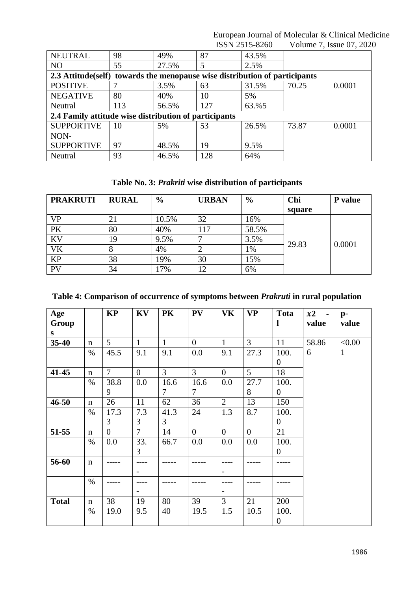| <b>NEUTRAL</b>                                                              | 98                                                    | 49%   | 87  | 43.5% |       |        |  |  |  |  |  |  |
|-----------------------------------------------------------------------------|-------------------------------------------------------|-------|-----|-------|-------|--------|--|--|--|--|--|--|
| N <sub>O</sub>                                                              | 55                                                    | 27.5% | 5   | 2.5%  |       |        |  |  |  |  |  |  |
| 2.3 Attitude (self) towards the menopause wise distribution of participants |                                                       |       |     |       |       |        |  |  |  |  |  |  |
| <b>POSITIVE</b>                                                             |                                                       | 3.5%  | 63  | 31.5% | 70.25 | 0.0001 |  |  |  |  |  |  |
| <b>NEGATIVE</b>                                                             | 80                                                    | 40%   | 10  | 5%    |       |        |  |  |  |  |  |  |
| Neutral                                                                     | 113                                                   | 56.5% | 127 | 63.%5 |       |        |  |  |  |  |  |  |
|                                                                             | 2.4 Family attitude wise distribution of participants |       |     |       |       |        |  |  |  |  |  |  |
| <b>SUPPORTIVE</b>                                                           | 10                                                    | 5%    | 53  | 26.5% | 73.87 | 0.0001 |  |  |  |  |  |  |
| NON-                                                                        |                                                       |       |     |       |       |        |  |  |  |  |  |  |
| <b>SUPPORTIVE</b>                                                           | 97                                                    | 48.5% | 19  | 9.5%  |       |        |  |  |  |  |  |  |
| Neutral                                                                     | 93                                                    | 46.5% | 128 | 64%   |       |        |  |  |  |  |  |  |

**Table No. 3:** *Prakriti* **wise distribution of participants**

| <b>PRAKRUTI</b> | <b>RURAL</b> | $\frac{6}{6}$ | <b>URBAN</b> | $\frac{6}{9}$ | Chi    | <b>P</b> value |
|-----------------|--------------|---------------|--------------|---------------|--------|----------------|
|                 |              |               |              |               | square |                |
| <b>VP</b>       | 21           | 10.5%         | 32           | 16%           |        | 0.0001         |
| PK              | 80           | 40%           | 117          | 58.5%         |        |                |
| <b>KV</b>       | 19           | 9.5%          |              | 3.5%          | 29.83  |                |
| <b>VK</b>       | 8            | 4%            |              | 1%            |        |                |
| <b>KP</b>       | 38           | 19%           | 30           | 15%           |        |                |
| PV              | 34           | 17%           | 12           | 6%            |        |                |

# **Table 4: Comparison of occurrence of symptoms between** *Prakruti* **in rural population**

| Age<br>Group<br>S |             | <b>KP</b>      | KV                | <b>PK</b>      | <b>PV</b>      | VK                       | <b>VP</b>      | Tota<br>1        | x2<br>value | $p-$<br>value |
|-------------------|-------------|----------------|-------------------|----------------|----------------|--------------------------|----------------|------------------|-------------|---------------|
| $35 - 40$         | n           | 5              | $\mathbf{1}$      | $\mathbf{1}$   | $\overline{0}$ | $\mathbf{1}$             | 3              | 11               | 58.86       | < 0.00        |
|                   | $\%$        | 45.5           | 9.1               | 9.1            | 0.0            | 9.1                      | 27.3           | 100.             | 6           | $\mathbf{1}$  |
|                   |             |                |                   |                |                |                          |                | $\boldsymbol{0}$ |             |               |
| 41-45             | $\mathbf n$ | $\overline{7}$ | $\boldsymbol{0}$  | $\overline{3}$ | $\overline{3}$ | $\theta$                 | $\overline{5}$ | 18               |             |               |
|                   | $\%$        | 38.8           | 0.0               | 16.6           | 16.6           | 0.0                      | 27.7           | 100.             |             |               |
|                   |             | 9              |                   | 7              | 7              |                          | 8              | $\boldsymbol{0}$ |             |               |
| $46 - 50$         | $\mathbf n$ | 26             | 11                | 62             | 36             | $\overline{2}$           | 13             | 150              |             |               |
|                   | %           | 17.3           | 7.3               | 41.3           | 24             | 1.3                      | 8.7            | 100.             |             |               |
|                   |             | 3              | 3                 | 3              |                |                          |                | $\overline{0}$   |             |               |
| 51-55             | $\mathbf n$ | $\overline{0}$ | $\overline{7}$    | 14             | $\overline{0}$ | $\overline{0}$           | $\overline{0}$ | 21               |             |               |
|                   | $\%$        | 0.0            | 33.               | 66.7           | 0.0            | 0.0                      | 0.0            | 100.             |             |               |
|                   |             |                | 3                 |                |                |                          |                | $\overline{0}$   |             |               |
| 56-60             | $\mathbf n$ |                |                   |                |                |                          |                |                  |             |               |
|                   |             |                | $\qquad \qquad -$ |                |                | $\overline{\phantom{a}}$ |                |                  |             |               |
|                   | $\%$        |                |                   |                |                |                          |                |                  |             |               |
|                   |             |                |                   |                |                |                          |                |                  |             |               |
| <b>Total</b>      | $\mathbf n$ | 38             | 19                | 80             | 39             | $\overline{3}$           | 21             | 200              |             |               |
|                   | $\%$        | 19.0           | 9.5               | 40             | 19.5           | 1.5                      | 10.5           | 100.             |             |               |
|                   |             |                |                   |                |                |                          |                | $\overline{0}$   |             |               |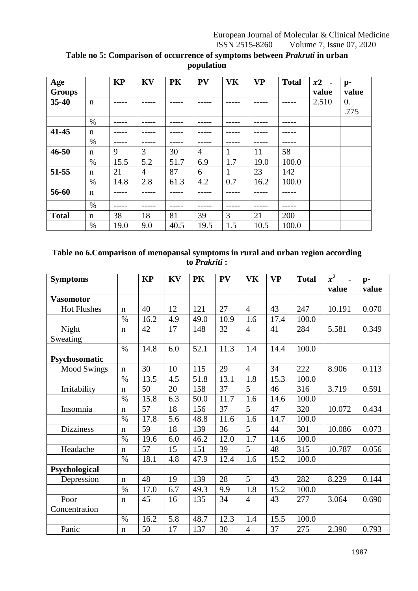| Age           |             | <b>KP</b> | KV             | <b>PK</b> | <b>PV</b>      | <b>VK</b> | <b>VP</b> | <b>Total</b> | x2<br>$\blacksquare$ | $\mathbf{p}$ - |
|---------------|-------------|-----------|----------------|-----------|----------------|-----------|-----------|--------------|----------------------|----------------|
| <b>Groups</b> |             |           |                |           |                |           |           |              | value                | value          |
| 35-40         | $\mathbf n$ |           |                |           |                |           |           |              | 2.510                | $\theta$ .     |
|               |             |           |                |           |                |           |           |              |                      | .775           |
|               | $\%$        |           |                |           |                |           |           |              |                      |                |
| 41-45         | n           |           |                |           |                |           |           |              |                      |                |
|               | $\%$        |           |                |           |                |           |           |              |                      |                |
| $46 - 50$     | $\mathbf n$ | 9         | 3              | 30        | $\overline{4}$ | 1         | 11        | 58           |                      |                |
|               | $\%$        | 15.5      | 5.2            | 51.7      | 6.9            | 1.7       | 19.0      | 100.0        |                      |                |
| 51-55         | $\mathbf n$ | 21        | $\overline{4}$ | 87        | 6              | 1         | 23        | 142          |                      |                |
|               | $\%$        | 14.8      | 2.8            | 61.3      | 4.2            | 0.7       | 16.2      | 100.0        |                      |                |
| 56-60         | $\mathbf n$ |           |                |           |                |           |           |              |                      |                |
|               | $\%$        |           |                |           |                |           |           |              |                      |                |
| <b>Total</b>  | $\mathbf n$ | 38        | 18             | 81        | 39             | 3         | 21        | 200          |                      |                |
|               | $\%$        | 19.0      | 9.0            | 40.5      | 19.5           | 1.5       | 10.5      | 100.0        |                      |                |

# **Table no 5: Comparison of occurrence of symptoms between** *Prakruti* **in urban population**

# **Table no 6.Comparison of menopausal symptoms in rural and urban region according to** *Prakriti* **:**

| <b>Symptoms</b>    |               | <b>KP</b> | KV  | PK   | PV   | VK             | <b>VP</b> | <b>Total</b> | $x^2$  | $p-$<br>value |
|--------------------|---------------|-----------|-----|------|------|----------------|-----------|--------------|--------|---------------|
| <b>Vasomotor</b>   |               |           |     |      |      |                |           |              | value  |               |
| <b>Hot Flushes</b> | $\mathbf n$   | 40        | 12  | 121  | 27   | $\overline{4}$ | 43        | 247          | 10.191 | 0.070         |
|                    | $\%$          | 16.2      | 4.9 | 49.0 | 10.9 | 1.6            | 17.4      | 100.0        |        |               |
| Night              | $\mathbf n$   | 42        | 17  | 148  | 32   | $\overline{4}$ | 41        | 284          | 5.581  | 0.349         |
| Sweating           |               |           |     |      |      |                |           |              |        |               |
|                    | $\frac{0}{0}$ | 14.8      | 6.0 | 52.1 | 11.3 | 1.4            | 14.4      | 100.0        |        |               |
| Psychosomatic      |               |           |     |      |      |                |           |              |        |               |
| <b>Mood Swings</b> | $\mathbf n$   | 30        | 10  | 115  | 29   | $\overline{4}$ | 34        | 222          | 8.906  | 0.113         |
|                    | $\%$          | 13.5      | 4.5 | 51.8 | 13.1 | 1.8            | 15.3      | 100.0        |        |               |
| Irritability       | n             | 50        | 20  | 158  | 37   | 5              | 46        | 316          | 3.719  | 0.591         |
|                    | $\frac{0}{0}$ | 15.8      | 6.3 | 50.0 | 11.7 | 1.6            | 14.6      | 100.0        |        |               |
| Insomnia           | $\mathbf n$   | 57        | 18  | 156  | 37   | 5              | 47        | 320          | 10.072 | 0.434         |
|                    | $\%$          | 17.8      | 5.6 | 48.8 | 11.6 | 1.6            | 14.7      | 100.0        |        |               |
| <b>Dizziness</b>   | $\mathbf n$   | 59        | 18  | 139  | 36   | 5              | 44        | 301          | 10.086 | 0.073         |
|                    | $\%$          | 19.6      | 6.0 | 46.2 | 12.0 | 1.7            | 14.6      | 100.0        |        |               |
| Headache           | $\mathbf n$   | 57        | 15  | 151  | 39   | 5              | 48        | 315          | 10.787 | 0.056         |
|                    | $\%$          | 18.1      | 4.8 | 47.9 | 12.4 | 1.6            | 15.2      | 100.0        |        |               |
| Psychological      |               |           |     |      |      |                |           |              |        |               |
| Depression         | $\mathbf n$   | 48        | 19  | 139  | 28   | 5              | 43        | 282          | 8.229  | 0.144         |
|                    | $\%$          | 17.0      | 6.7 | 49.3 | 9.9  | 1.8            | 15.2      | 100.0        |        |               |
| Poor               | $\mathbf n$   | 45        | 16  | 135  | 34   | $\overline{4}$ | 43        | 277          | 3.064  | 0.690         |
| Concentration      |               |           |     |      |      |                |           |              |        |               |
|                    | $\%$          | 16.2      | 5.8 | 48.7 | 12.3 | 1.4            | 15.5      | 100.0        |        |               |
| Panic              | $\mathbf n$   | 50        | 17  | 137  | 30   | $\overline{4}$ | 37        | 275          | 2.390  | 0.793         |